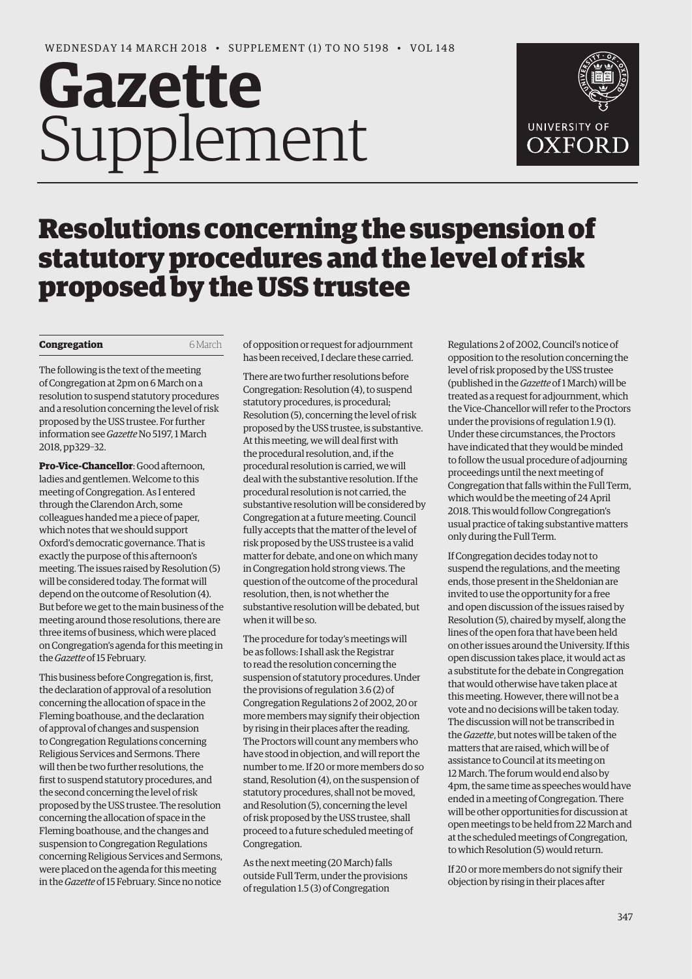# **Gazette** Supplement



# Resolutions concerning the suspension of statutory procedures and the level of risk proposed by the USS trustee

## **Congregation** 6 March

The following is the text of the meeting of Congregation at 2pm on 6 March on a resolution to suspend statutory procedures and a resolution concerning the level of risk proposed by the USS trustee. For further information see *Gazette* No 5197, 1 March 2018, pp329–32.

**Pro-Vice-Chancellor**: Good afternoon, ladies and gentlemen. Welcome to this meeting of Congregation. As I entered through the Clarendon Arch, some colleagues handed me a piece of paper, which notes that we should support Oxford's democratic governance. That is exactly the purpose of this afternoon's meeting. The issues raised by Resolution (5) will be considered today. The format will depend on the outcome of Resolution (4). But before we get to the main business of the meeting around those resolutions, there are three items of business, which were placed on Congregation's agenda for this meeting in the *Gazette* of 15 February.

This business before Congregation is, first, the declaration of approval of a resolution concerning the allocation of space in the Fleming boathouse, and the declaration of approval of changes and suspension to Congregation Regulations concerning Religious Services and Sermons. There will then be two further resolutions, the first to suspend statutory procedures, and the second concerning the level of risk proposed by the USS trustee. The resolution concerning the allocation of space in the Fleming boathouse, and the changes and suspension to Congregation Regulations concerning Religious Services and Sermons, were placed on the agenda for this meeting in the *Gazette* of 15 February. Since no notice

of opposition or request for adjournment has been received, I declare these carried.

There are two further resolutions before Congregation: Resolution (4), to suspend statutory procedures, is procedural; Resolution (5), concerning the level of risk proposed by the USS trustee, is substantive. At this meeting, we will deal first with the procedural resolution, and, if the procedural resolution is carried, we will deal with the substantive resolution. If the procedural resolution is not carried, the substantive resolution will be considered by Congregation at a future meeting. Council fully accepts that the matter of the level of risk proposed by the USS trustee is a valid matter for debate, and one on which many in Congregation hold strong views. The question of the outcome of the procedural resolution, then, is not whether the substantive resolution will be debated, but when it will be so.

The procedure for today's meetings will be as follows: I shall ask the Registrar to read the resolution concerning the suspension of statutory procedures. Under the provisions of regulation 3.6 (2) of Congregation Regulations 2 of 2002, 20 or more members may signify their objection by rising in their places after the reading. The Proctors will count any members who have stood in objection, and will report the number to me. If 20 or more members do so stand, Resolution (4), on the suspension of statutory procedures, shall not be moved, and Resolution (5), concerning the level of risk proposed by the USS trustee, shall proceed to a future scheduled meeting of Congregation.

As the next meeting (20 March) falls outside Full Term, under the provisions of regulation 1.5 (3) of Congregation

Regulations 2 of 2002, Council's notice of opposition to the resolution concerning the level of risk proposed by the USS trustee (published in the *Gazette* of 1 March) will be treated as a request for adjournment, which the Vice-Chancellor will refer to the Proctors under the provisions of regulation 1.9 (1). Under these circumstances, the Proctors have indicated that they would be minded to follow the usual procedure of adjourning proceedings until the next meeting of Congregation that falls within the Full Term, which would be the meeting of 24 April 2018. This would follow Congregation's usual practice of taking substantive matters only during the Full Term.

If Congregation decides today not to suspend the regulations, and the meeting ends, those present in the Sheldonian are invited to use the opportunity for a free and open discussion of the issues raised by Resolution (5), chaired by myself, along the lines of the open fora that have been held on other issues around the University. If this open discussion takes place, it would act as a substitute for the debate in Congregation that would otherwise have taken place at this meeting. However, there will not be a vote and no decisions will be taken today. The discussion will not be transcribed in the *Gazette*, but notes will be taken of the matters that are raised, which will be of assistance to Council at its meeting on 12 March. The forum would end also by 4pm, the same time as speeches would have ended in a meeting of Congregation. There will be other opportunities for discussion at open meetings to be held from 22 March and at the scheduled meetings of Congregation, to which Resolution (5) would return.

If 20 or more members do not signify their objection by rising in their places after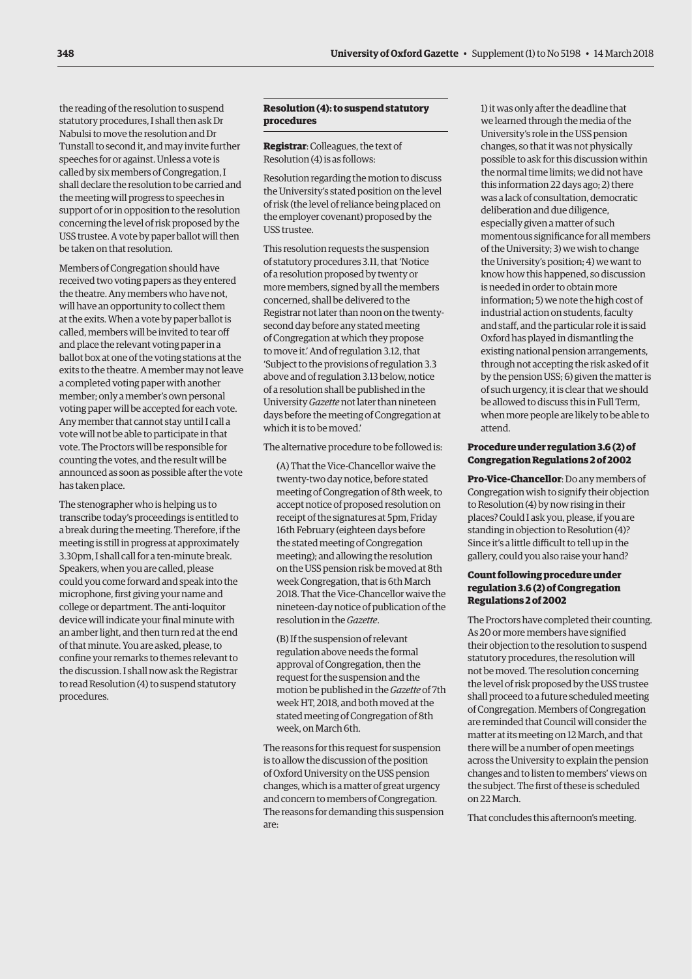the reading of the resolution to suspend statutory procedures, I shall then ask Dr Nabulsi to move the resolution and Dr Tunstall to second it, and may invite further speeches for or against. Unless a vote is called by six members of Congregation, I shall declare the resolution to be carried and the meeting will progress to speeches in support of or in opposition to the resolution concerning the level of risk proposed by the USS trustee. A vote by paper ballot will then be taken on that resolution.

Members of Congregation should have received two voting papers as they entered the theatre. Any members who have not, will have an opportunity to collect them at the exits. When a vote by paper ballot is called, members will be invited to tear off and place the relevant voting paper in a ballot box at one of the voting stations at the exits to the theatre. A member may not leave a completed voting paper with another member; only a member's own personal voting paper will be accepted for each vote. Any member that cannot stay until I call a vote will not be able to participate in that vote. The Proctors will be responsible for counting the votes, and the result will be announced as soon as possible after the vote has taken place.

The stenographer who is helping us to transcribe today's proceedings is entitled to a break during the meeting. Therefore, if the meeting is still in progress at approximately 3.30pm, I shall call for a ten-minute break. Speakers, when you are called, please could you come forward and speak into the microphone, first giving your name and college or department. The anti-loquitor device will indicate your final minute with an amber light, and then turn red at the end of that minute. You are asked, please, to confine your remarks to themes relevant to the discussion. I shall now ask the Registrar to read Resolution (4) to suspend statutory procedures.

# **Resolution (4): to suspend statutory procedures**

**Registrar**: Colleagues, the text of Resolution (4) is as follows:

Resolution regarding the motion to discuss the University's stated position on the level of risk (the level of reliance being placed on the employer covenant) proposed by the USS trustee.

This resolution requests the suspension of statutory procedures 3.11, that 'Notice of a resolution proposed by twenty or more members, signed by all the members concerned, shall be delivered to the Registrar not later than noon on the twentysecond day before any stated meeting of Congregation at which they propose to move it.' And of regulation 3.12, that 'Subject to the provisions of regulation 3.3 above and of regulation 3.13 below, notice of a resolution shall be published in the University *Gazette* not later than nineteen days before the meeting of Congregation at which it is to be moved.'

The alternative procedure to be followed is:

(A) That the Vice-Chancellor waive the twenty-two day notice, before stated meeting of Congregation of 8th week, to accept notice of proposed resolution on receipt of the signatures at 5pm, Friday 16th February (eighteen days before the stated meeting of Congregation meeting); and allowing the resolution on the USS pension risk be moved at 8th week Congregation, that is 6th March 2018. That the Vice-Chancellor waive the nineteen-day notice of publication of the resolution in the *Gazette*.

(B) If the suspension of relevant regulation above needs the formal approval of Congregation, then the request for the suspension and the motion be published in the *Gazette* of 7th week HT, 2018, and both moved at the stated meeting of Congregation of 8th week, on March 6th.

The reasons for this request for suspension is to allow the discussion of the position of Oxford University on the USS pension changes, which is a matter of great urgency and concern to members of Congregation. The reasons for demanding this suspension are:

1) it was only after the deadline that we learned through the media of the University's role in the USS pension changes, so that it was not physically possible to ask for this discussion within the normal time limits; we did not have this information 22 days ago; 2) there was a lack of consultation, democratic deliberation and due diligence, especially given a matter of such momentous significance for all members of the University; 3) we wish to change the University's position; 4) we want to know how this happened, so discussion is needed in order to obtain more information; 5) we note the high cost of industrial action on students, faculty and staff, and the particular role it is said Oxford has played in dismantling the existing national pension arrangements, through not accepting the risk asked of it by the pension USS; 6) given the matter is of such urgency, it is clear that we should be allowed to discuss this in Full Term, when more people are likely to be able to attend.

#### **Procedure under regulation 3.6 (2) of Congregation Regulations 2 of 2002**

**Pro-Vice-Chancellor**: Do any members of Congregation wish to signify their objection to Resolution (4) by now rising in their places? Could I ask you, please, if you are standing in objection to Resolution (4)? Since it's a little difficult to tell up in the gallery, could you also raise your hand?

## **Count following procedure under regulation 3.6 (2) of Congregation Regulations 2 of 2002**

The Proctors have completed their counting. As 20 or more members have signified their objection to the resolution to suspend statutory procedures, the resolution will not be moved. The resolution concerning the level of risk proposed by the USS trustee shall proceed to a future scheduled meeting of Congregation. Members of Congregation are reminded that Council will consider the matter at its meeting on 12 March, and that there will be a number of open meetings across the University to explain the pension changes and to listen to members' views on the subject. The first of these is scheduled on 22 March.

That concludes this afternoon's meeting.